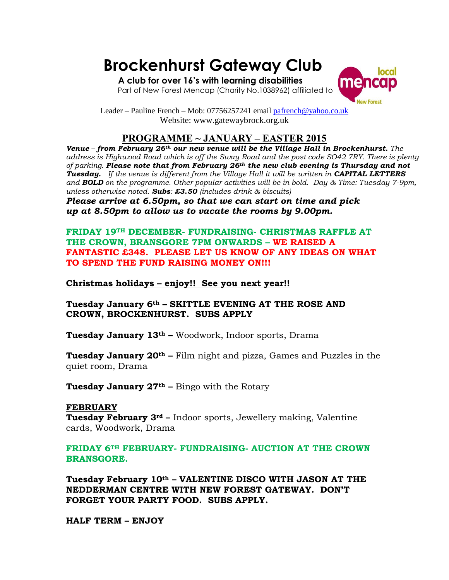# **Brockenhurst Gateway Club**

 **A club for over 16's with learning disabilities**  Part of New Forest Mencap (Charity No.1038962) affiliated to



Leader – Pauline French – Mob: 07756257241 emai[l pafrench@yahoo.co.uk](mailto:pafrench@yahoo.co.uk) Website: www.gatewaybrock.org.uk

## **PROGRAMME ~ JANUARY – EASTER 2015**

*Venue – from February 26th our new venue will be the Village Hall in Brockenhurst. The address is Highwood Road which is off the Sway Road and the post code SO42 7RY. There is plenty of parking. Please note that from February 26th the new club evening is Thursday and not Tuesday. If the venue is different from the Village Hall it will be written in CAPITAL LETTERS and BOLD on the programme. Other popular activities will be in bold. Day & Time: Tuesday 7-9pm, unless otherwise noted. Subs: £3.50 (includes drink & biscuits)*

*Please arrive at 6.50pm, so that we can start on time and pick up at 8.50pm to allow us to vacate the rooms by 9.00pm.*

**FRIDAY 19TH DECEMBER- FUNDRAISING- CHRISTMAS RAFFLE AT THE CROWN, BRANSGORE 7PM ONWARDS – WE RAISED A FANTASTIC £348. PLEASE LET US KNOW OF ANY IDEAS ON WHAT TO SPEND THE FUND RAISING MONEY ON!!!**

### **Christmas holidays – enjoy!! See you next year!!**

**Tuesday January 6th – SKITTLE EVENING AT THE ROSE AND CROWN, BROCKENHURST. SUBS APPLY**

**Tuesday January 13th –** Woodwork, Indoor sports, Drama

**Tuesday January 20th –** Film night and pizza, Games and Puzzles in the quiet room, Drama

**Tuesday January 27th –** Bingo with the Rotary

#### **FEBRUARY**

**Tuesday February 3rd –** Indoor sports, Jewellery making, Valentine cards, Woodwork, Drama

**FRIDAY 6TH FEBRUARY- FUNDRAISING- AUCTION AT THE CROWN BRANSGORE.** 

**Tuesday February 10th – VALENTINE DISCO WITH JASON AT THE NEDDERMAN CENTRE WITH NEW FOREST GATEWAY. DON'T FORGET YOUR PARTY FOOD. SUBS APPLY.**

**HALF TERM – ENJOY**